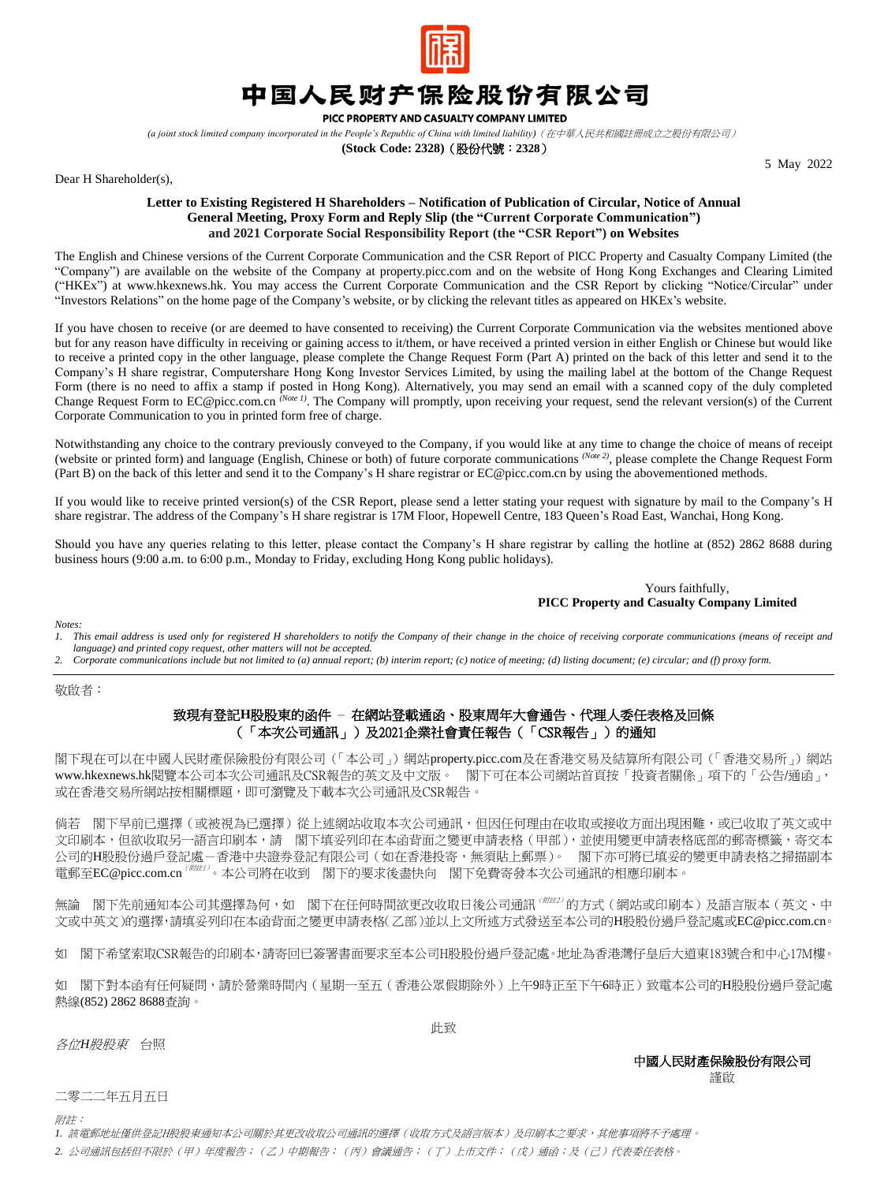

## 中国人民财产保险股份有限公司

PICC PROPERTY AND CASUALTY COMPANY LIMITED

*(a joint stock limited company incorporated in the People's Republic of China with limited liability)*(在中華人民共和國註冊成立之股份有限公司)

**(Stock Code: 2328)**(股份代號:**2328**)

5 May 2022

Dear H Shareholder(s),

## **Letter to Existing Registered H Shareholders – Notification of Publication of Circular, Notice of Annual General Meeting, Proxy Form and Reply Slip (the "Current Corporate Communication") and 2021 Corporate Social Responsibility Report (the "CSR Report") on Websites**

The English and Chinese versions of the Current Corporate Communication and the CSR Report of PICC Property and Casualty Company Limited (the "Company") are available on the website of the Company at [property.picc.com](https://property.picc.com/) and on the website of Hong Kong Exchanges and Clearing Limited ("HKEx") at [www.hkexnews.hk.](http://www.hkexnews.hk/) You may access the Current Corporate Communication and the CSR Report by clicking "Notice/Circular" under "Investors Relations" on the home page of the Company's website, or by clicking the relevant titles as appeared on HKEx's website.

If you have chosen to receive (or are deemed to have consented to receiving) the Current Corporate Communication via the websites mentioned above but for any reason have difficulty in receiving or gaining access to it/them, or have received a printed version in either English or Chinese but would like to receive a printed copy in the other language, please complete the Change Request Form (Part A) printed on the back of this letter and send it to the Company's H share registrar, Computershare Hong Kong Investor Services Limited, by using the mailing label at the bottom of the Change Request Form (there is no need to affix a stamp if posted in Hong Kong). Alternatively, you may send an email with a scanned copy of the duly completed Change Request Form to [EC@picc.com.cn](mailto:EC@picc.com.cn) *(Note 1)*. The Company will promptly, upon receiving your request, send the relevant version(s) of the Current Corporate Communication to you in printed form free of charge.

Notwithstanding any choice to the contrary previously conveyed to the Company, if you would like at any time to change the choice of means of receipt (website or printed form) and language (English, Chinese or both) of future corporate communications *(Note 2)*, please complete the Change Request Form (Part B) on the back of this letter and send it to the Company's H share registrar o[r EC@picc.com.cn](mailto:EC@picc.com.cn) by using the abovementioned methods.

If you would like to receive printed version(s) of the CSR Report, please send a letter stating your request with signature by mail to the Company's H share registrar. The address of the Company's H share registrar is 17M Floor, Hopewell Centre, 183 Queen's Road East, Wanchai, Hong Kong.

Should you have any queries relating to this letter, please contact the Company's H share registrar by calling the hotline at (852) 2862 8688 during business hours (9:00 a.m. to 6:00 p.m., Monday to Friday, excluding Hong Kong public holidays).

> Yours faithfully,  **PICC Property and Casualty Company Limited**

*Notes:*

*1. This email address is used only for registered H shareholders to notify the Company of their change in the choice of receiving corporate communications (means of receipt and language) and printed copy request, other matters will not be accepted.*

*2. Corporate communications include but not limited to (a) annual report; (b) interim report; (c) notice of meeting; (d) listing document; (e) circular; and (f) proxy form.*

敬啟者:

## 致現有登記**H**股股東的函件 – 在網站登載通函、股東周年大會通告、代理人委任表格及回條 (「本次公司通訊」)及2021企業社會責任報告(「CSR報告」)的通知

閣下現在可以在中國人民財產保險股份有限公司(「本公司」)網站[property.picc.com](https://property.picc.com/)及在香港交易及結算所有限公司(「香港交易所」)網站 [www.hkexnews.hk](http://www.hkexnews.hk/index_c.htm)閱覽本公司本次公司通訊及CSR報告的英文及中文版。 閣下可在本公司網站首頁按「投資者關係」項下的「公告/通函」, 或在香港交易所網站按相關標題,即可瀏覽及下載本次公司通訊及CSR報告。

倘若 閣下早前已選擇(或被視為已選擇)從上述網站收取本次公司通訊,但因任何理由在收取或接收方面出現困難,或已收取了英文或中 文印刷本,但欲收取另一語言印刷本,請 閣下填妥列印在本函背面之變更申請表格(甲部),並使用變更申請表格底部的郵寄標籤,寄交本 公司的H股股份過戶登記處-香港中央證券登記有限公司(如在香港投寄,無須貼上郵票)。 閣下亦可將已填妥的變更申請表格之掃描副本 電郵至[EC@picc.com.cn](mailto:EC@picc.com.cn)<sup>(解註1)</sup>。本公司將在收到 閣下的要求後盡快向 閣下免費寄發本次公司通訊的相應印刷本。

無論 閣下先前通知本公司其選擇為何,如 閣下在任何時間欲更改收取日後公司通訊<sup>(*附註2)*的方式(網站或印刷本)及語言版本(英文、中</sup> 文或中英文)的選擇,請填妥列印在本函背面之變更申請表格(乙部)並以上文所述方式發送至本公司的H股股份過戶登記處或[EC@picc.com.cn](mailto:EC@picc.com.cn)。

如 閣下希望索取CSR報告的印刷本,請寄回已簽署書面要求至本公司H股股份過戶登記處。地址為香港灣仔皇后大道東183號合和中心17M樓。

如 閣下對本函有任何疑問,請於營業時間内(星期一至五 (香港公眾假期除外)上午9時正至下午6時正)致電本公司的H股股份過戶登記處 熱線(852) 2862 8688查詢。

各位*H*股股東 台照

此致

中國人民財產保險股份有限公司 謹啟

二零二二年五月五日

**附詳:** 

1. 該電郵地址僅供登記H股股東通知本公司關於其更改收取公司通訊的選擇 (收取方式及語言版本)及印刷本之要求,其他事項將不予處理。

*2.* 公司通訊包括但不限於(甲)年度報告;(乙)中期報告;(丙)會議通告;(丁)上市文件;(戊)通函;及(己)代表委任表格。